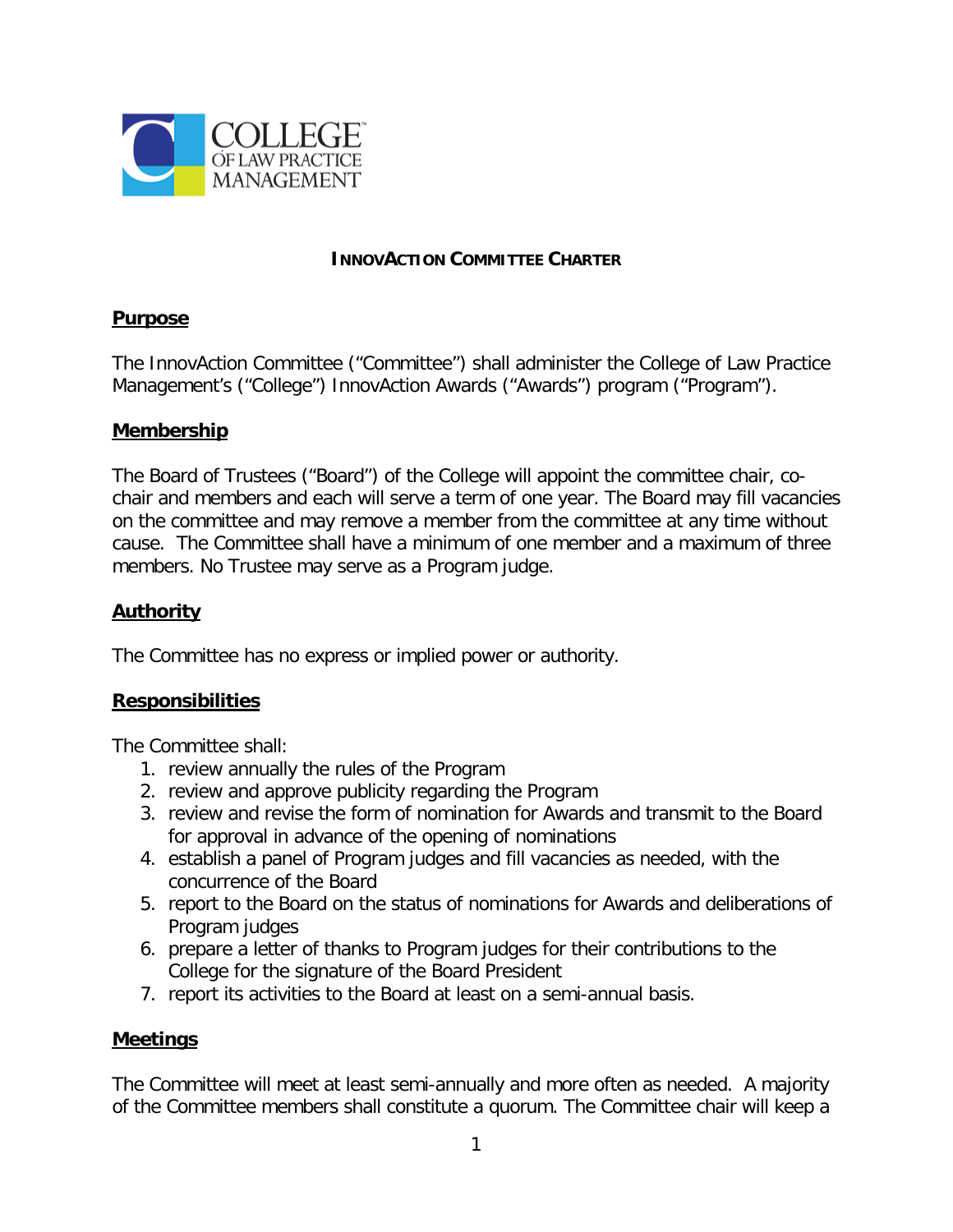

#### **INNOVACTION COMMITTEE CHARTER**

### **Purpose**

The InnovAction Committee ("Committee") shall administer the College of Law Practice Management's ("College") InnovAction Awards ("Awards") program ("Program").

### **Membership**

The Board of Trustees ("Board") of the College will appoint the committee chair, cochair and members and each will serve a term of one year. The Board may fill vacancies on the committee and may remove a member from the committee at any time without cause. The Committee shall have a minimum of one member and a maximum of three members. No Trustee may serve as a Program judge.

# **Authority**

The Committee has no express or implied power or authority.

## **Responsibilities**

The Committee shall:

- 1. review annually the rules of the Program
- 2. review and approve publicity regarding the Program
- 3. review and revise the form of nomination for Awards and transmit to the Board for approval in advance of the opening of nominations
- 4. establish a panel of Program judges and fill vacancies as needed, with the concurrence of the Board
- 5. report to the Board on the status of nominations for Awards and deliberations of Program judges
- 6. prepare a letter of thanks to Program judges for their contributions to the College for the signature of the Board President
- 7. report its activities to the Board at least on a semi-annual basis.

## **Meetings**

The Committee will meet at least semi-annually and more often as needed. A majority of the Committee members shall constitute a quorum. The Committee chair will keep a